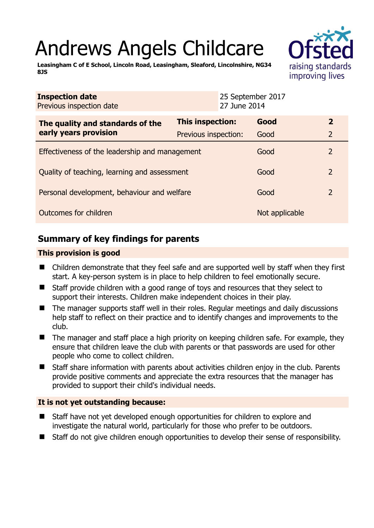# Andrews Angels Childcare

**Leasingham C of E School, Lincoln Road, Leasingham, Sleaford, Lincolnshire, NG34 8JS** 

| <b>Inspection date</b><br>Previous inspection date        |                      | 25 September 2017<br>27 June 2014 |                |                |
|-----------------------------------------------------------|----------------------|-----------------------------------|----------------|----------------|
| The quality and standards of the<br>early years provision | This inspection:     |                                   | Good           | $\overline{2}$ |
|                                                           | Previous inspection: |                                   | Good           | $\overline{2}$ |
| Effectiveness of the leadership and management            |                      |                                   | Good           | 2              |
| Quality of teaching, learning and assessment              |                      |                                   | Good           | $\overline{2}$ |
| Personal development, behaviour and welfare               |                      |                                   | Good           | 2              |
| Outcomes for children                                     |                      |                                   | Not applicable |                |

# **Summary of key findings for parents**

### **This provision is good**

- Children demonstrate that they feel safe and are supported well by staff when they first start. A key-person system is in place to help children to feel emotionally secure.
- Staff provide children with a good range of toys and resources that they select to support their interests. Children make independent choices in their play.
- The manager supports staff well in their roles. Regular meetings and daily discussions help staff to reflect on their practice and to identify changes and improvements to the club.
- The manager and staff place a high priority on keeping children safe. For example, they ensure that children leave the club with parents or that passwords are used for other people who come to collect children.
- Staff share information with parents about activities children enjoy in the club. Parents provide positive comments and appreciate the extra resources that the manager has provided to support their child's individual needs.

## **It is not yet outstanding because:**

- Staff have not yet developed enough opportunities for children to explore and investigate the natural world, particularly for those who prefer to be outdoors.
- Staff do not give children enough opportunities to develop their sense of responsibility.

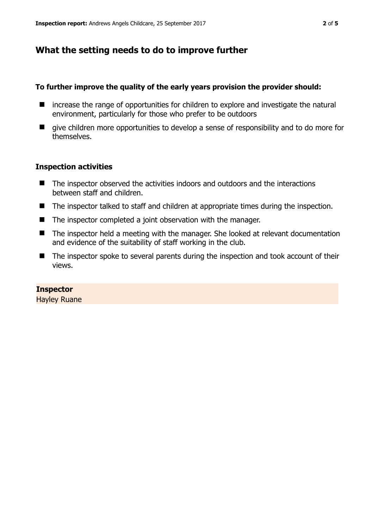## **What the setting needs to do to improve further**

#### **To further improve the quality of the early years provision the provider should:**

- increase the range of opportunities for children to explore and investigate the natural environment, particularly for those who prefer to be outdoors
- $\blacksquare$  give children more opportunities to develop a sense of responsibility and to do more for themselves.

#### **Inspection activities**

- The inspector observed the activities indoors and outdoors and the interactions between staff and children.
- The inspector talked to staff and children at appropriate times during the inspection.
- The inspector completed a joint observation with the manager.
- The inspector held a meeting with the manager. She looked at relevant documentation and evidence of the suitability of staff working in the club.
- The inspector spoke to several parents during the inspection and took account of their views.

#### **Inspector**

Hayley Ruane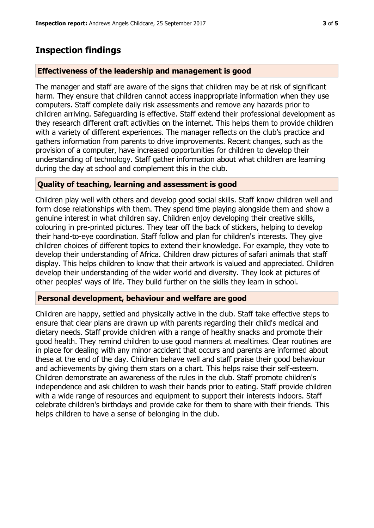## **Inspection findings**

#### **Effectiveness of the leadership and management is good**

The manager and staff are aware of the signs that children may be at risk of significant harm. They ensure that children cannot access inappropriate information when they use computers. Staff complete daily risk assessments and remove any hazards prior to children arriving. Safeguarding is effective. Staff extend their professional development as they research different craft activities on the internet. This helps them to provide children with a variety of different experiences. The manager reflects on the club's practice and gathers information from parents to drive improvements. Recent changes, such as the provision of a computer, have increased opportunities for children to develop their understanding of technology. Staff gather information about what children are learning during the day at school and complement this in the club.

#### **Quality of teaching, learning and assessment is good**

Children play well with others and develop good social skills. Staff know children well and form close relationships with them. They spend time playing alongside them and show a genuine interest in what children say. Children enjoy developing their creative skills, colouring in pre-printed pictures. They tear off the back of stickers, helping to develop their hand-to-eye coordination. Staff follow and plan for children's interests. They give children choices of different topics to extend their knowledge. For example, they vote to develop their understanding of Africa. Children draw pictures of safari animals that staff display. This helps children to know that their artwork is valued and appreciated. Children develop their understanding of the wider world and diversity. They look at pictures of other peoples' ways of life. They build further on the skills they learn in school.

#### **Personal development, behaviour and welfare are good**

Children are happy, settled and physically active in the club. Staff take effective steps to ensure that clear plans are drawn up with parents regarding their child's medical and dietary needs. Staff provide children with a range of healthy snacks and promote their good health. They remind children to use good manners at mealtimes. Clear routines are in place for dealing with any minor accident that occurs and parents are informed about these at the end of the day. Children behave well and staff praise their good behaviour and achievements by giving them stars on a chart. This helps raise their self-esteem. Children demonstrate an awareness of the rules in the club. Staff promote children's independence and ask children to wash their hands prior to eating. Staff provide children with a wide range of resources and equipment to support their interests indoors. Staff celebrate children's birthdays and provide cake for them to share with their friends. This helps children to have a sense of belonging in the club.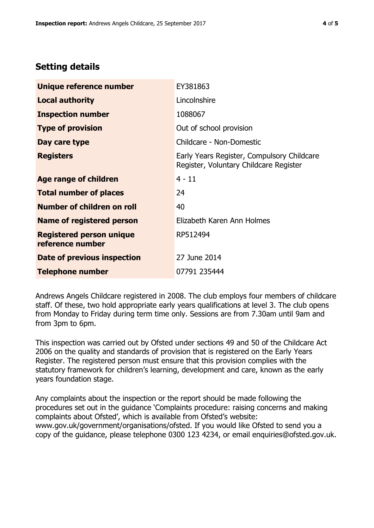# **Setting details**

| Unique reference number                             | EY381863                                                                             |  |
|-----------------------------------------------------|--------------------------------------------------------------------------------------|--|
| <b>Local authority</b>                              | Lincolnshire                                                                         |  |
| <b>Inspection number</b>                            | 1088067                                                                              |  |
| <b>Type of provision</b>                            | Out of school provision                                                              |  |
| Day care type                                       | Childcare - Non-Domestic                                                             |  |
| <b>Registers</b>                                    | Early Years Register, Compulsory Childcare<br>Register, Voluntary Childcare Register |  |
| Age range of children                               | $4 - 11$                                                                             |  |
| <b>Total number of places</b>                       | 24                                                                                   |  |
| Number of children on roll                          | 40                                                                                   |  |
| Name of registered person                           | Elizabeth Karen Ann Holmes                                                           |  |
| <b>Registered person unique</b><br>reference number | RP512494                                                                             |  |
| Date of previous inspection                         | 27 June 2014                                                                         |  |
| <b>Telephone number</b>                             | 07791 235444                                                                         |  |

Andrews Angels Childcare registered in 2008. The club employs four members of childcare staff. Of these, two hold appropriate early years qualifications at level 3. The club opens from Monday to Friday during term time only. Sessions are from 7.30am until 9am and from 3pm to 6pm.

This inspection was carried out by Ofsted under sections 49 and 50 of the Childcare Act 2006 on the quality and standards of provision that is registered on the Early Years Register. The registered person must ensure that this provision complies with the statutory framework for children's learning, development and care, known as the early years foundation stage.

Any complaints about the inspection or the report should be made following the procedures set out in the guidance 'Complaints procedure: raising concerns and making complaints about Ofsted', which is available from Ofsted's website: www.gov.uk/government/organisations/ofsted. If you would like Ofsted to send you a copy of the guidance, please telephone 0300 123 4234, or email enquiries@ofsted.gov.uk.